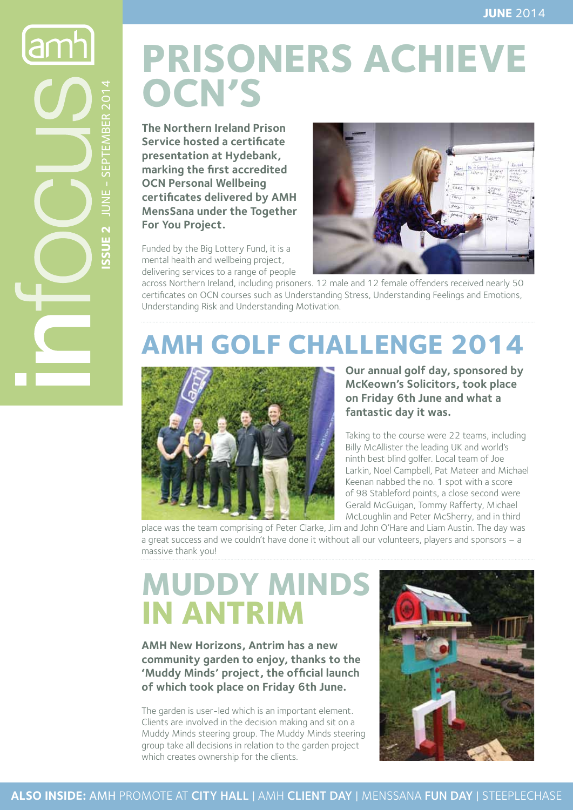lamh **Issue 2** JUNE - SEPTEMBER 2014 JUNE - SEPTEMBER 2014 SSUE<sub>2</sub>

# **PRISONERS ACHIEVE OCN's**

**The Northern Ireland Prison Service hosted a certificate presentation at Hydebank, marking the first accredited OCN Personal Wellbeing certificates delivered by AMH MensSana under the Together For You Project.** 

Funded by the Big Lottery Fund, it is a mental health and wellbeing project, delivering services to a range of people



across Northern Ireland, including prisoners. 12 male and 12 female offenders received nearly 50 certificates on OCN courses such as Understanding Stress, Understanding Feelings and Emotions, Understanding Risk and Understanding Motivation.

# **AMH Golf Challenge 2014**



**Our annual golf day, sponsored by McKeown's Solicitors, took place on Friday 6th June and what a fantastic day it was.** 

Taking to the course were 22 teams, including Billy McAllister the leading UK and world's ninth best blind golfer. Local team of Joe Larkin, Noel Campbell, Pat Mateer and Michael Keenan nabbed the no. 1 spot with a score of 98 Stableford points, a close second were Gerald McGuigan, Tommy Rafferty, Michael McLoughlin and Peter McSherry, and in third

place was the team comprising of Peter Clarke, Jim and John O'Hare and Liam Austin. The day was a great success and we couldn't have done it without all our volunteers, players and sponsors – a massive thank you!

# **Muddy Minds in Antrim**

**AMH New Horizons, Antrim has a new community garden to enjoy, thanks to the 'Muddy Minds' project, the official launch of which took place on Friday 6th June.**

The garden is user-led which is an important element. Clients are involved in the decision making and sit on a Muddy Minds steering group. The Muddy Minds steering group take all decisions in relation to the garden project which creates ownership for the clients.

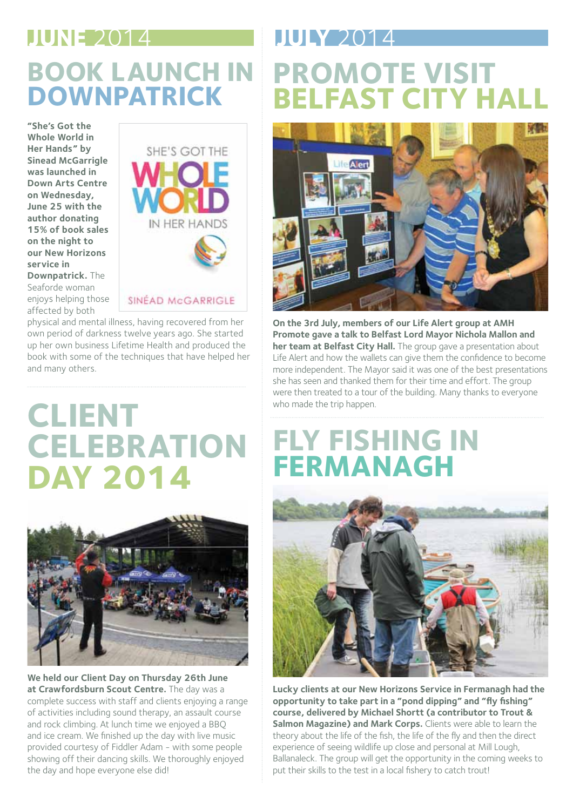#### **JUNE** 2014 **JULY** 2014

## **Book Launch in Downpatrick**

**"She's Got the Whole World in Her Hands" by Sinead McGarrigle was launched in Down Arts Centre on Wednesday, June 25 with the author donating 15% of book sales on the night to our New Horizons service in Downpatrick.** The Seaforde woman enjoys helping those affected by both



physical and mental illness, having recovered from her own period of darkness twelve years ago. She started up her own business Lifetime Health and produced the book with some of the techniques that have helped her and many others.

# **Client Celebration Day 2014**



**We held our Client Day on Thursday 26th June at Crawfordsburn Scout Centre.** The day was a complete success with staff and clients enjoying a range of activities including sound therapy, an assault course and rock climbing. At lunch time we enjoyed a BBQ and ice cream. We finished up the day with live music provided courtesy of Fiddler Adam - with some people showing off their dancing skills. We thoroughly enjoyed the day and hope everyone else did!

# **Promote Visit Belfast City Hall**



**On the 3rd July, members of our Life Alert group at AMH Promote gave a talk to Belfast Lord Mayor Nichola Mallon and her team at Belfast City Hall.** The group gave a presentation about Life Alert and how the wallets can give them the confidence to become more independent. The Mayor said it was one of the best presentations she has seen and thanked them for their time and effort. The group were then treated to a tour of the building. Many thanks to everyone who made the trip happen.

## **Fly Fishing in Fermanagh**



**Lucky clients at our New Horizons Service in Fermanagh had the opportunity to take part in a "pond dipping" and "fly fishing" course, delivered by Michael Shortt (a contributor to Trout & Salmon Magazine) and Mark Corps.** Clients were able to learn the theory about the life of the fish, the life of the fly and then the direct experience of seeing wildlife up close and personal at Mill Lough, Ballanaleck. The group will get the opportunity in the coming weeks to put their skills to the test in a local fishery to catch trout!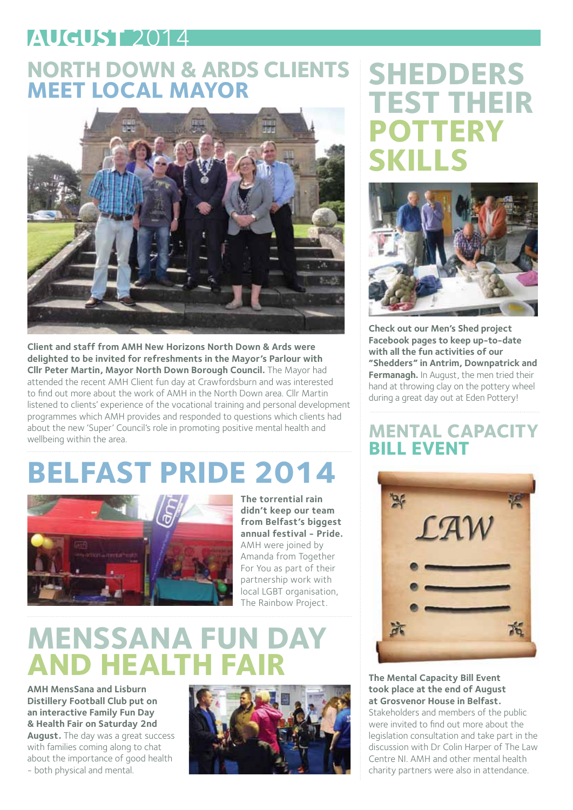#### **AUGUST** 2014

#### **North Down & Ards Clients Meet Local Mayor**



**Client and staff from AMH New Horizons North Down & Ards were delighted to be invited for refreshments in the Mayor's Parlour with Cllr Peter Martin, Mayor North Down Borough Council.** The Mayor had attended the recent AMH Client fun day at Crawfordsburn and was interested to find out more about the work of AMH in the North Down area. Cllr Martin listened to clients' experience of the vocational training and personal development programmes which AMH provides and responded to questions which clients had about the new 'Super' Council's role in promoting positive mental health and wellbeing within the area.

# **Belfast Pride 2014**



**The torrential rain didn't keep our team from Belfast's biggest annual festival - Pride.**  AMH were joined by Amanda from Together For You as part of their partnership work with local LGBT organisation, The Rainbow Project.

# **MensSana Fun Day AND HEALTH FA**

**AMH MensSana and Lisburn Distillery Football Club put on an interactive Family Fun Day & Health Fair on Saturday 2nd August.** The day was a great success with families coming along to chat about the importance of good health - both physical and mental.



## **Shedders Test Their Pottery Skills**



**Check out our Men's Shed project Facebook pages to keep up-to-date with all the fun activities of our "Shedders" in Antrim, Downpatrick and Fermanagh.** In August, the men tried their hand at throwing clay on the pottery wheel during a great day out at Eden Pottery!

#### **Mental Capacity Bill Event**



**The Mental Capacity Bill Event took place at the end of August at Grosvenor House in Belfast.** 

Stakeholders and members of the public were invited to find out more about the legislation consultation and take part in the discussion with Dr Colin Harper of The Law Centre NI. AMH and other mental health charity partners were also in attendance.